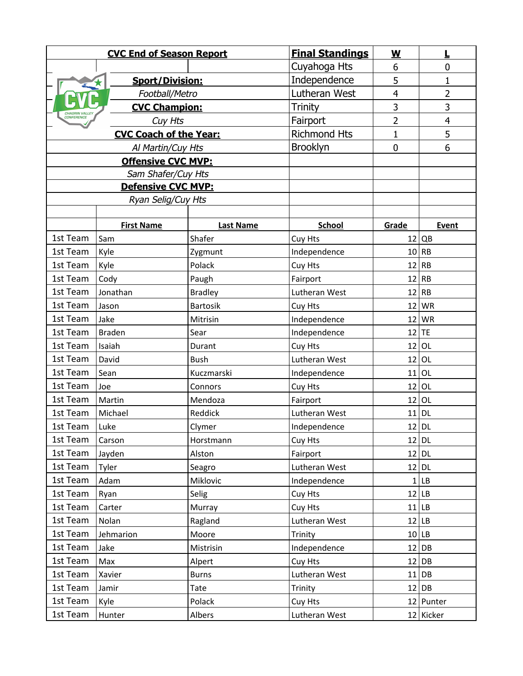| <b>CVC End of Season Report</b>       |                        |                  | <b>Final Standings</b> | $\underline{\mathsf{w}}$ | L              |
|---------------------------------------|------------------------|------------------|------------------------|--------------------------|----------------|
|                                       |                        |                  | Cuyahoga Hts           | 6                        | 0              |
|                                       | <b>Sport/Division:</b> |                  | Independence           | 5                        | 1              |
| Football/Metro                        |                        |                  | Lutheran West          | 4                        | $\overline{2}$ |
| <b>CVC Champion:</b><br>CHAGRIN VALLE |                        |                  | Trinity                | 3                        | 3              |
| CONFERENCE<br>Cuy Hts                 |                        |                  | Fairport               | $\overline{2}$           | 4              |
| <b>CVC Coach of the Year:</b>         |                        |                  | <b>Richmond Hts</b>    | $\mathbf 1$              | 5              |
| Al Martin/Cuy Hts                     |                        |                  | Brooklyn               | $\mathbf 0$              | 6              |
| <b>Offensive CVC MVP:</b>             |                        |                  |                        |                          |                |
| Sam Shafer/Cuy Hts                    |                        |                  |                        |                          |                |
| Defensive CVC MVP:                    |                        |                  |                        |                          |                |
| Ryan Selig/Cuy Hts                    |                        |                  |                        |                          |                |
|                                       |                        |                  |                        |                          |                |
|                                       | <b>First Name</b>      | <b>Last Name</b> | <b>School</b>          | Grade                    | Event          |
| 1st Team                              | Sam                    | Shafer           | Cuy Hts                |                          | $12$ QB        |
| 1st Team                              | Kyle                   | Zygmunt          | Independence           | 10                       | RB             |
| 1st Team                              | Kyle                   | Polack           | Cuy Hts                | 12                       | <b>RB</b>      |
| 1st Team                              | Cody                   | Paugh            | Fairport               |                          | $12$ RB        |
| 1st Team                              | Jonathan               | <b>Bradley</b>   | Lutheran West          | 12                       | <b>RB</b>      |
| 1st Team                              | Jason                  | <b>Bartosik</b>  | Cuy Hts                | 12                       | WR             |
| 1st Team                              | Jake                   | Mitrisin         | Independence           | 12                       | WR             |
| 1st Team                              | <b>Braden</b>          | Sear             | Independence           |                          | $12$ TE        |
| 1st Team                              | Isaiah                 | Durant           | Cuy Hts                | 12                       | <b>OL</b>      |
| 1st Team                              | David                  | <b>Bush</b>      | Lutheran West          | 12                       | OL             |
| 1st Team                              | Sean                   | Kuczmarski       | Independence           | 11                       | OL             |
| 1st Team                              | Joe                    | Connors          | Cuy Hts                | 12                       | <b>OL</b>      |
| 1st Team                              | Martin                 | Mendoza          | Fairport               | 12                       | OL             |
| 1st Team                              | Michael                | Reddick          | Lutheran West          | 11                       | <b>DL</b>      |
| 1st Team                              | Luke                   | Clymer           | Independence           |                          | $12$ DL        |
| 1st Team                              | Carson                 | Horstmann        | Cuy Hts                |                          | 12 DL          |
| 1st Team                              | Jayden                 | Alston           | Fairport               |                          | $12$ DL        |
| 1st Team                              | Tyler                  | Seagro           | Lutheran West          |                          | $12$ DL        |
| 1st Team                              | Adam                   | Miklovic         | Independence           |                          | 1 LB           |
| 1st Team                              | Ryan                   | Selig            | Cuy Hts                |                          | $12$ LB        |
| 1st Team                              | Carter                 | Murray           | Cuy Hts                |                          | $11$ LB        |
| 1st Team                              | Nolan                  | Ragland          | Lutheran West          |                          | $12$ LB        |
| 1st Team                              | Jehmarion              | Moore            | Trinity                |                          | 10 LB          |
| 1st Team                              | Jake                   | Mistrisin        | Independence           |                          | $12$ DB        |
| 1st Team                              | Max                    | Alpert           | Cuy Hts                |                          | $12$ DB        |
| 1st Team                              | Xavier                 | <b>Burns</b>     | Lutheran West          |                          | $11$ DB        |
| 1st Team                              | Jamir                  | Tate             | Trinity                |                          | $12$ DB        |
| 1st Team                              | Kyle                   | Polack           | Cuy Hts                |                          | 12 Punter      |
| 1st Team                              | Hunter                 | Albers           | Lutheran West          |                          | 12 Kicker      |